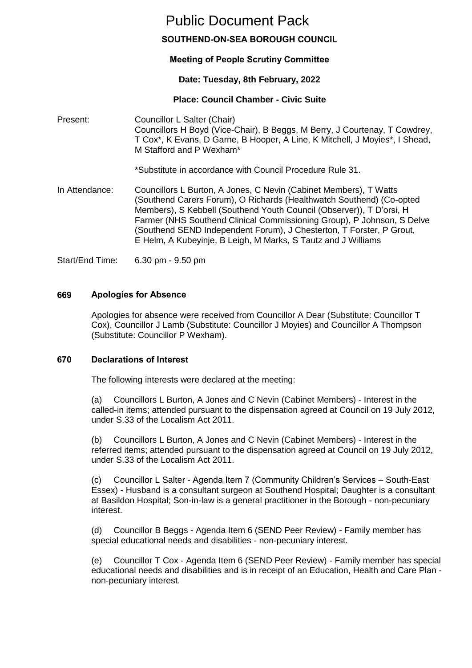# Public Document Pack

# **SOUTHEND-ON-SEA BOROUGH COUNCIL**

# **Meeting of People Scrutiny Committee**

# **Date: Tuesday, 8th February, 2022**

# **Place: Council Chamber - Civic Suite**

Present: Councillor L Salter (Chair) Councillors H Boyd (Vice-Chair), B Beggs, M Berry, J Courtenay, T Cowdrey, T Cox\*, K Evans, D Garne, B Hooper, A Line, K Mitchell, J Moyies\*, I Shead, M Stafford and P Wexham\*

\*Substitute in accordance with Council Procedure Rule 31.

In Attendance: Councillors L Burton, A Jones, C Nevin (Cabinet Members), T Watts (Southend Carers Forum), O Richards (Healthwatch Southend) (Co-opted Members), S Kebbell (Southend Youth Council (Observer)), T D'orsi, H Farmer (NHS Southend Clinical Commissioning Group), P Johnson, S Delve (Southend SEND Independent Forum), J Chesterton, T Forster, P Grout, E Helm, A Kubeyinje, B Leigh, M Marks, S Tautz and J Williams

Start/End Time: 6.30 pm - 9.50 pm

# **669 Apologies for Absence**

Apologies for absence were received from Councillor A Dear (Substitute: Councillor T Cox), Councillor J Lamb (Substitute: Councillor J Moyies) and Councillor A Thompson (Substitute: Councillor P Wexham).

# **670 Declarations of Interest**

The following interests were declared at the meeting:

(a) Councillors L Burton, A Jones and C Nevin (Cabinet Members) - Interest in the called-in items; attended pursuant to the dispensation agreed at Council on 19 July 2012, under S.33 of the Localism Act 2011.

(b) Councillors L Burton, A Jones and C Nevin (Cabinet Members) - Interest in the referred items; attended pursuant to the dispensation agreed at Council on 19 July 2012, under S.33 of the Localism Act 2011.

(c) Councillor L Salter - Agenda Item 7 (Community Children's Services – South-East Essex) - Husband is a consultant surgeon at Southend Hospital; Daughter is a consultant at Basildon Hospital; Son-in-law is a general practitioner in the Borough - non-pecuniary interest.

(d) Councillor B Beggs - Agenda Item 6 (SEND Peer Review) - Family member has special educational needs and disabilities - non-pecuniary interest.

(e) Councillor T Cox - Agenda Item 6 (SEND Peer Review) - Family member has special educational needs and disabilities and is in receipt of an Education, Health and Care Plan non-pecuniary interest.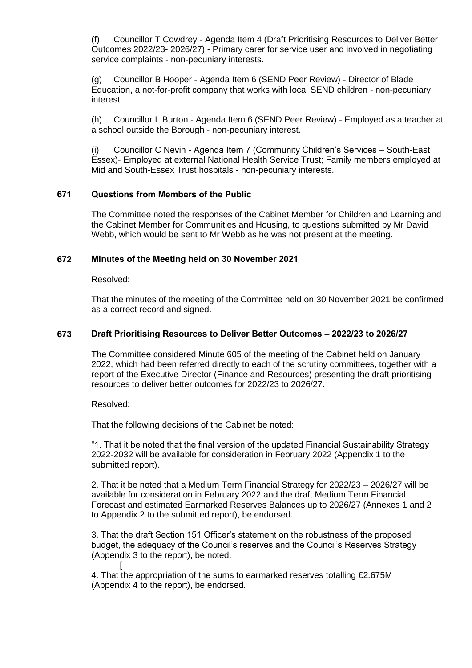(f) Councillor T Cowdrey - Agenda Item 4 (Draft Prioritising Resources to Deliver Better Outcomes 2022/23- 2026/27) - Primary carer for service user and involved in negotiating service complaints - non-pecuniary interests.

(g) Councillor B Hooper - Agenda Item 6 (SEND Peer Review) - Director of Blade Education, a not-for-profit company that works with local SEND children - non-pecuniary interest.

(h) Councillor L Burton - Agenda Item 6 (SEND Peer Review) - Employed as a teacher at a school outside the Borough - non-pecuniary interest.

(i) Councillor C Nevin - Agenda Item 7 (Community Children's Services – South-East Essex)- Employed at external National Health Service Trust; Family members employed at Mid and South-Essex Trust hospitals - non-pecuniary interests.

#### **671 Questions from Members of the Public**

The Committee noted the responses of the Cabinet Member for Children and Learning and the Cabinet Member for Communities and Housing, to questions submitted by Mr David Webb, which would be sent to Mr Webb as he was not present at the meeting.

#### **672 Minutes of the Meeting held on 30 November 2021**

Resolved:

That the minutes of the meeting of the Committee held on 30 November 2021 be confirmed as a correct record and signed.

# **673 Draft Prioritising Resources to Deliver Better Outcomes – 2022/23 to 2026/27**

The Committee considered Minute 605 of the meeting of the Cabinet held on January 2022, which had been referred directly to each of the scrutiny committees, together with a report of the Executive Director (Finance and Resources) presenting the draft prioritising resources to deliver better outcomes for 2022/23 to 2026/27.

Resolved:

That the following decisions of the Cabinet be noted:

"1. That it be noted that the final version of the updated Financial Sustainability Strategy 2022-2032 will be available for consideration in February 2022 (Appendix 1 to the submitted report).

2. That it be noted that a Medium Term Financial Strategy for 2022/23 – 2026/27 will be available for consideration in February 2022 and the draft Medium Term Financial Forecast and estimated Earmarked Reserves Balances up to 2026/27 (Annexes 1 and 2 to Appendix 2 to the submitted report), be endorsed.

3. That the draft Section 151 Officer's statement on the robustness of the proposed budget, the adequacy of the Council's reserves and the Council's Reserves Strategy (Appendix 3 to the report), be noted. [

4. That the appropriation of the sums to earmarked reserves totalling £2.675M (Appendix 4 to the report), be endorsed.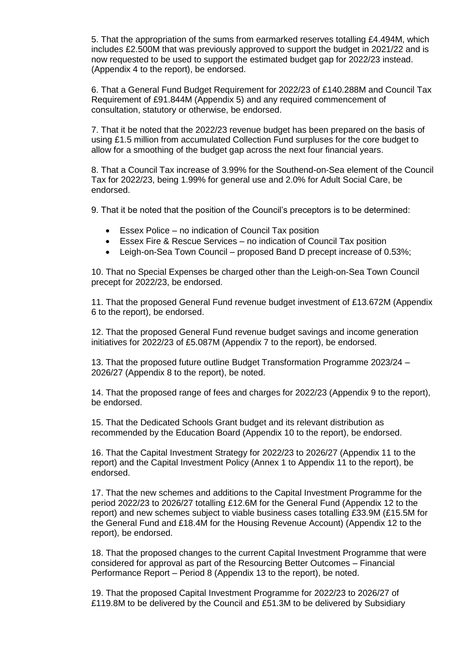5. That the appropriation of the sums from earmarked reserves totalling £4.494M, which includes £2.500M that was previously approved to support the budget in 2021/22 and is now requested to be used to support the estimated budget gap for 2022/23 instead. (Appendix 4 to the report), be endorsed.

6. That a General Fund Budget Requirement for 2022/23 of £140.288M and Council Tax Requirement of £91.844M (Appendix 5) and any required commencement of consultation, statutory or otherwise, be endorsed.

7. That it be noted that the 2022/23 revenue budget has been prepared on the basis of using £1.5 million from accumulated Collection Fund surpluses for the core budget to allow for a smoothing of the budget gap across the next four financial years.

8. That a Council Tax increase of 3.99% for the Southend-on-Sea element of the Council Tax for 2022/23, being 1.99% for general use and 2.0% for Adult Social Care, be endorsed.

9. That it be noted that the position of the Council's preceptors is to be determined:

- Essex Police no indication of Council Tax position
- Essex Fire & Rescue Services no indication of Council Tax position
- Leigh-on-Sea Town Council proposed Band D precept increase of 0.53%;

10. That no Special Expenses be charged other than the Leigh-on-Sea Town Council precept for 2022/23, be endorsed.

11. That the proposed General Fund revenue budget investment of £13.672M (Appendix 6 to the report), be endorsed.

12. That the proposed General Fund revenue budget savings and income generation initiatives for 2022/23 of £5.087M (Appendix 7 to the report), be endorsed.

13. That the proposed future outline Budget Transformation Programme 2023/24 – 2026/27 (Appendix 8 to the report), be noted.

14. That the proposed range of fees and charges for 2022/23 (Appendix 9 to the report), be endorsed.

15. That the Dedicated Schools Grant budget and its relevant distribution as recommended by the Education Board (Appendix 10 to the report), be endorsed.

16. That the Capital Investment Strategy for 2022/23 to 2026/27 (Appendix 11 to the report) and the Capital Investment Policy (Annex 1 to Appendix 11 to the report), be endorsed.

17. That the new schemes and additions to the Capital Investment Programme for the period 2022/23 to 2026/27 totalling £12.6M for the General Fund (Appendix 12 to the report) and new schemes subject to viable business cases totalling £33.9M (£15.5M for the General Fund and £18.4M for the Housing Revenue Account) (Appendix 12 to the report), be endorsed.

18. That the proposed changes to the current Capital Investment Programme that were considered for approval as part of the Resourcing Better Outcomes – Financial Performance Report – Period 8 (Appendix 13 to the report), be noted.

19. That the proposed Capital Investment Programme for 2022/23 to 2026/27 of £119.8M to be delivered by the Council and £51.3M to be delivered by Subsidiary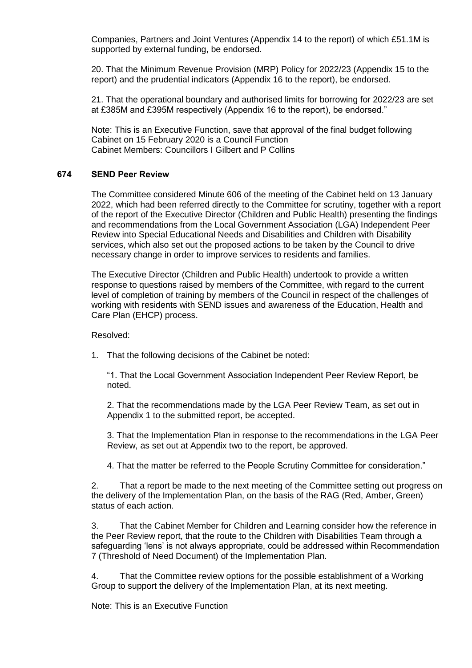Companies, Partners and Joint Ventures (Appendix 14 to the report) of which £51.1M is supported by external funding, be endorsed.

20. That the Minimum Revenue Provision (MRP) Policy for 2022/23 (Appendix 15 to the report) and the prudential indicators (Appendix 16 to the report), be endorsed.

21. That the operational boundary and authorised limits for borrowing for 2022/23 are set at £385M and £395M respectively (Appendix 16 to the report), be endorsed."

Note: This is an Executive Function, save that approval of the final budget following Cabinet on 15 February 2020 is a Council Function Cabinet Members: Councillors I Gilbert and P Collins

#### **674 SEND Peer Review**

The Committee considered Minute 606 of the meeting of the Cabinet held on 13 January 2022, which had been referred directly to the Committee for scrutiny, together with a report of the report of the Executive Director (Children and Public Health) presenting the findings and recommendations from the Local Government Association (LGA) Independent Peer Review into Special Educational Needs and Disabilities and Children with Disability services, which also set out the proposed actions to be taken by the Council to drive necessary change in order to improve services to residents and families.

The Executive Director (Children and Public Health) undertook to provide a written response to questions raised by members of the Committee, with regard to the current level of completion of training by members of the Council in respect of the challenges of working with residents with SEND issues and awareness of the Education, Health and Care Plan (EHCP) process.

Resolved:

1. That the following decisions of the Cabinet be noted:

"1. That the Local Government Association Independent Peer Review Report, be noted.

2. That the recommendations made by the LGA Peer Review Team, as set out in Appendix 1 to the submitted report, be accepted.

3. That the Implementation Plan in response to the recommendations in the LGA Peer Review, as set out at Appendix two to the report, be approved.

4. That the matter be referred to the People Scrutiny Committee for consideration."

2. That a report be made to the next meeting of the Committee setting out progress on the delivery of the Implementation Plan, on the basis of the RAG (Red, Amber, Green) status of each action.

3. That the Cabinet Member for Children and Learning consider how the reference in the Peer Review report, that the route to the Children with Disabilities Team through a safeguarding 'lens' is not always appropriate, could be addressed within Recommendation 7 (Threshold of Need Document) of the Implementation Plan.

4. That the Committee review options for the possible establishment of a Working Group to support the delivery of the Implementation Plan, at its next meeting.

Note: This is an Executive Function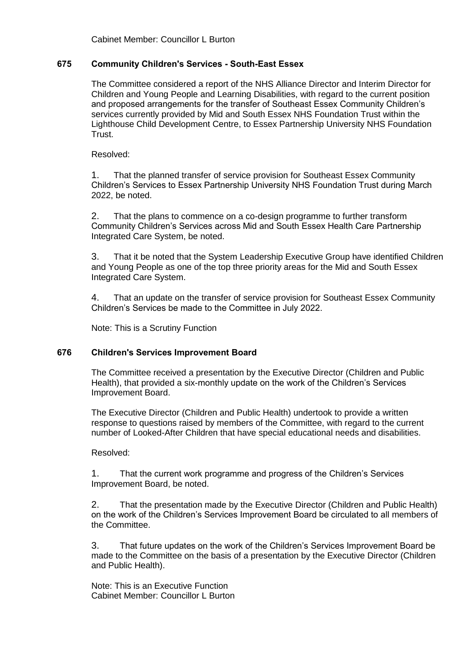Cabinet Member: Councillor L Burton

#### **675 Community Children's Services - South-East Essex**

The Committee considered a report of the NHS Alliance Director and Interim Director for Children and Young People and Learning Disabilities, with regard to the current position and proposed arrangements for the transfer of Southeast Essex Community Children's services currently provided by Mid and South Essex NHS Foundation Trust within the Lighthouse Child Development Centre, to Essex Partnership University NHS Foundation Trust.

Resolved:

1. That the planned transfer of service provision for Southeast Essex Community Children's Services to Essex Partnership University NHS Foundation Trust during March 2022, be noted.

2. That the plans to commence on a co-design programme to further transform Community Children's Services across Mid and South Essex Health Care Partnership Integrated Care System, be noted.

3. That it be noted that the System Leadership Executive Group have identified Children and Young People as one of the top three priority areas for the Mid and South Essex Integrated Care System.

4. That an update on the transfer of service provision for Southeast Essex Community Children's Services be made to the Committee in July 2022.

Note: This is a Scrutiny Function

# **676 Children's Services Improvement Board**

The Committee received a presentation by the Executive Director (Children and Public Health), that provided a six-monthly update on the work of the Children's Services Improvement Board.

The Executive Director (Children and Public Health) undertook to provide a written response to questions raised by members of the Committee, with regard to the current number of Looked-After Children that have special educational needs and disabilities.

#### Resolved:

1. That the current work programme and progress of the Children's Services Improvement Board, be noted.

2. That the presentation made by the Executive Director (Children and Public Health) on the work of the Children's Services Improvement Board be circulated to all members of the Committee.

3. That future updates on the work of the Children's Services Improvement Board be made to the Committee on the basis of a presentation by the Executive Director (Children and Public Health).

Note: This is an Executive Function Cabinet Member: Councillor L Burton